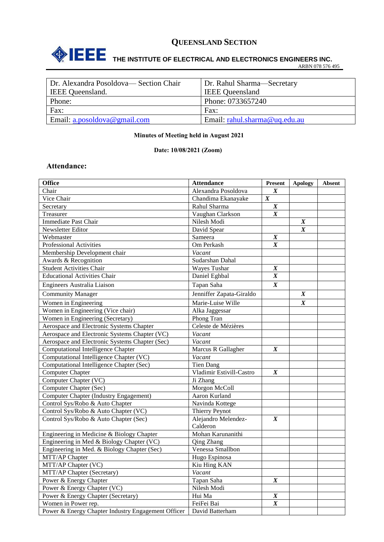

# **THE INSTITUTE OF ELECTRICAL AND ELECTRONICS ENGINEERS INC.**

ARBN 078 576 495

| Dr. Alexandra Posoldova— Section Chair | Dr. Rahul Sharma—Secretary    |
|----------------------------------------|-------------------------------|
| <b>IEEE</b> Queensland.                | <b>IEEE</b> Queensland        |
| Phone:                                 | Phone: 0733657240             |
| Fax:                                   | Fax:                          |
| Email: $a. posoldova@gmail.com$        | Email: rahul.sharma@uq.edu.au |

#### **Minutes of Meeting held in August 2021**

#### **Date: 10/08/2021 (Zoom)**

## **Attendance:**

| <b>Office</b>                                      | <b>Attendance</b>        | Present          | <b>Apology</b>   | <b>Absent</b> |
|----------------------------------------------------|--------------------------|------------------|------------------|---------------|
| Chair                                              | Alexandra Posoldova      | $\boldsymbol{X}$ |                  |               |
| Vice Chair                                         | Chandima Ekanayake       | $\boldsymbol{X}$ |                  |               |
| Secretary                                          | Rahul Sharma             | $\boldsymbol{X}$ |                  |               |
| Treasurer                                          | Vaughan Clarkson         | $\boldsymbol{X}$ |                  |               |
| <b>Immediate Past Chair</b>                        | Nilesh Modi              |                  | $\boldsymbol{X}$ |               |
| Newsletter Editor                                  | David Spear              |                  | $\boldsymbol{X}$ |               |
| Webmaster                                          | Sameera                  | $\boldsymbol{X}$ |                  |               |
| Professional Activities                            | Om Perkash               | $\boldsymbol{X}$ |                  |               |
| Membership Development chair                       | Vacant                   |                  |                  |               |
| Awards & Recognition                               | Sudarshan Dahal          |                  |                  |               |
| <b>Student Activities Chair</b>                    | <b>Wayes Tushar</b>      | $\boldsymbol{X}$ |                  |               |
| <b>Educational Activities Chair</b>                | Daniel Eghbal            | $\boldsymbol{X}$ |                  |               |
| Engineers Australia Liaison                        | Tapan Saha               | $\boldsymbol{X}$ |                  |               |
| <b>Community Manager</b>                           | Jenniffer Zapata-Giraldo |                  | $\boldsymbol{X}$ |               |
| Women in Engineering                               | Marie-Luise Wille        |                  | $\boldsymbol{X}$ |               |
| Women in Engineering (Vice chair)                  | Alka Jaggessar           |                  |                  |               |
| Women in Engineering (Secretary)                   | Phong Tran               |                  |                  |               |
| Aerospace and Electronic Systems Chapter           | Celeste de Mézières      |                  |                  |               |
| Aerospace and Electronic Systems Chapter (VC)      | Vacant                   |                  |                  |               |
| Aerospace and Electronic Systems Chapter (Sec)     | Vacant                   |                  |                  |               |
| <b>Computational Intelligence Chapter</b>          | Marcus R Gallagher       | $\boldsymbol{X}$ |                  |               |
| Computational Intelligence Chapter (VC)            | Vacant                   |                  |                  |               |
| Computational Intelligence Chapter (Sec)           | <b>Tien Dang</b>         |                  |                  |               |
| <b>Computer Chapter</b>                            | Vladimir Estivill-Castro | $\boldsymbol{X}$ |                  |               |
| Computer Chapter (VC)                              | Ji Zhang                 |                  |                  |               |
| Computer Chapter (Sec)                             | Morgon McColl            |                  |                  |               |
| <b>Computer Chapter (Industry Engagement)</b>      | Aaron Kurland            |                  |                  |               |
| Control Sys/Robo & Auto Chapter                    | Navinda Kottege          |                  |                  |               |
| Control Sys/Robo & Auto Chapter (VC)               | Thierry Peynot           |                  |                  |               |
| Control Sys/Robo & Auto Chapter (Sec)              | Alejandro Melendez-      | $\boldsymbol{X}$ |                  |               |
|                                                    | Calderon                 |                  |                  |               |
| Engineering in Medicine & Biology Chapter          | Mohan Karunanithi        |                  |                  |               |
| Engineering in Med & Biology Chapter (VC)          | <b>Qing Zhang</b>        |                  |                  |               |
| Engineering in Med. & Biology Chapter (Sec)        | Venessa Smallbon         |                  |                  |               |
| MTT/AP Chapter                                     | Hugo Espinosa            |                  |                  |               |
| MTT/AP Chapter (VC)                                | Kiu Hing KAN             |                  |                  |               |
| MTT/AP Chapter (Secretary)                         | Vacant                   |                  |                  |               |
| Power & Energy Chapter                             | Tapan Saha               | $\boldsymbol{X}$ |                  |               |
| Power & Energy Chapter (VC)                        | Nilesh Modi              |                  |                  |               |
| Power & Energy Chapter (Secretary)                 | Hui Ma                   | $\boldsymbol{X}$ |                  |               |
| Women in Power rep.                                | FeiFei Bai               | $\boldsymbol{X}$ |                  |               |
| Power & Energy Chapter Industry Engagement Officer | David Batterham          |                  |                  |               |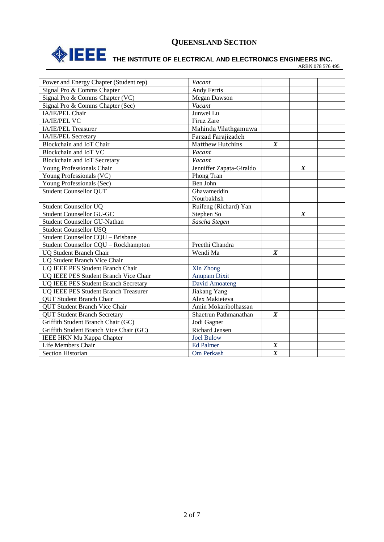

# **THE INSTITUTE OF ELECTRICAL AND ELECTRONICS ENGINEERS INC.**

ARBN 078 576 495

| Power and Energy Chapter (Student rep)      | Vacant                   |                  |                  |  |
|---------------------------------------------|--------------------------|------------------|------------------|--|
| Signal Pro & Comms Chapter                  | <b>Andy Ferris</b>       |                  |                  |  |
| Signal Pro & Comms Chapter (VC)             | Megan Dawson             |                  |                  |  |
| Signal Pro & Comms Chapter (Sec)            | Vacant                   |                  |                  |  |
| IA/IE/PEL Chair                             | Junwei Lu                |                  |                  |  |
| <b>IA/IE/PEL VC</b>                         | Firuz Zare               |                  |                  |  |
| IA/IE/PEL Treasurer                         | Mahinda Vilathgamuwa     |                  |                  |  |
| IA/IE/PEL Secretary                         | Farzad Farajizadeh       |                  |                  |  |
| Blockchain and IoT Chair                    | <b>Matthew Hutchins</b>  | $\boldsymbol{X}$ |                  |  |
| Blockchain and IoT VC                       | Vacant                   |                  |                  |  |
| Blockchain and IoT Secretary                | Vacant                   |                  |                  |  |
| Young Professionals Chair                   | Jenniffer Zapata-Giraldo |                  | $\boldsymbol{X}$ |  |
| Young Professionals (VC)                    | Phong Tran               |                  |                  |  |
| Young Professionals (Sec)                   | Ben John                 |                  |                  |  |
| <b>Student Counsellor QUT</b>               | Ghavameddin              |                  |                  |  |
|                                             | Nourbakhsh               |                  |                  |  |
| <b>Student Counsellor UQ</b>                | Ruifeng (Richard) Yan    |                  |                  |  |
| <b>Student Counsellor GU-GC</b>             | Stephen So               |                  | $\boldsymbol{X}$ |  |
| Student Counsellor GU-Nathan                | Sascha Stegen            |                  |                  |  |
| <b>Student Counsellor USQ</b>               |                          |                  |                  |  |
| Student Counsellor CQU - Brisbane           |                          |                  |                  |  |
| Student Counsellor CQU - Rockhampton        | Preethi Chandra          |                  |                  |  |
| <b>UQ Student Branch Chair</b>              | Wendi Ma                 | $\boldsymbol{X}$ |                  |  |
| <b>UQ Student Branch Vice Chair</b>         |                          |                  |                  |  |
| UQ IEEE PES Student Branch Chair            | Xin Zhong                |                  |                  |  |
| UQ IEEE PES Student Branch Vice Chair       | <b>Anupam Dixit</b>      |                  |                  |  |
| <b>UQ IEEE PES Student Branch Secretary</b> | David Amoateng           |                  |                  |  |
| UQ IEEE PES Student Branch Treasurer        | Jiakang Yang             |                  |                  |  |
| <b>OUT</b> Student Branch Chair             | Alex Makieieva           |                  |                  |  |
| <b>QUT Student Branch Vice Chair</b>        | Amin Mokaribolhassan     |                  |                  |  |
| <b>QUT Student Branch Secretary</b>         | Shaetrun Pathmanathan    | $\boldsymbol{X}$ |                  |  |
| Griffith Student Branch Chair (GC)          | Jodi Gagner              |                  |                  |  |
| Griffith Student Branch Vice Chair (GC)     | <b>Richard Jensen</b>    |                  |                  |  |
| <b>IEEE HKN Mu Kappa Chapter</b>            | <b>Joel Bulow</b>        |                  |                  |  |
| Life Members Chair                          | <b>Ed Palmer</b>         | $\boldsymbol{X}$ |                  |  |
| <b>Section Historian</b>                    | Om Perkash               | $\overline{X}$   |                  |  |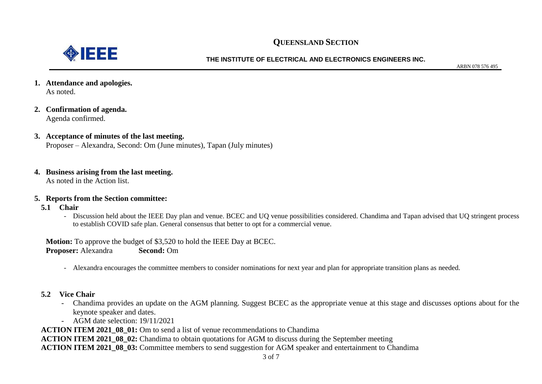

#### **THE INSTITUTE OF ELECTRICAL AND ELECTRONICS ENGINEERS INC.**

ARBN 078 576 495

- **1. Attendance and apologies.** As noted.
- **2. Confirmation of agenda.** Agenda confirmed.
- **3. Acceptance of minutes of the last meeting.**  Proposer – Alexandra, Second: Om (June minutes), Tapan (July minutes)
- **4. Business arising from the last meeting.**

As noted in the Action list.

## **5. Reports from the Section committee:**

- **5.1 Chair**
	- Discussion held about the IEEE Day plan and venue. BCEC and UQ venue possibilities considered. Chandima and Tapan advised that UQ stringent process to establish COVID safe plan. General consensus that better to opt for a commercial venue.

**Motion:** To approve the budget of \$3,520 to hold the IEEE Day at BCEC. **Proposer:** Alexandra **Second:** Om

- Alexandra encourages the committee members to consider nominations for next year and plan for appropriate transition plans as needed.
- **5.2 Vice Chair**
	- Chandima provides an update on the AGM planning. Suggest BCEC as the appropriate venue at this stage and discusses options about for the keynote speaker and dates.
	- AGM date selection: 19/11/2021

**ACTION ITEM 2021 08 01:** Om to send a list of venue recommendations to Chandima

**ACTION ITEM 2021\_08\_02:** Chandima to obtain quotations for AGM to discuss during the September meeting

**ACTION ITEM 2021\_08\_03:** Committee members to send suggestion for AGM speaker and entertainment to Chandima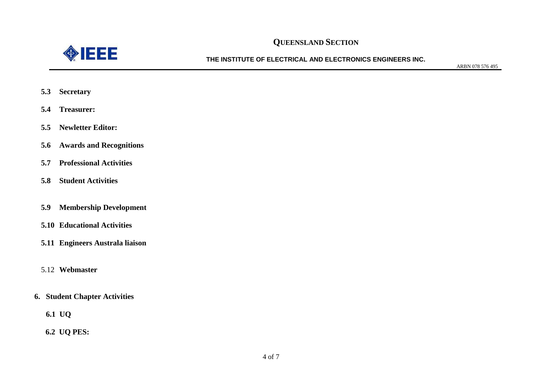

**THE INSTITUTE OF ELECTRICAL AND ELECTRONICS ENGINEERS INC.**

ARBN 078 576 495

- **5.3 Secretary**
- **5.4 Treasurer:**
- **5.5 Newletter Editor:**
- **5.6 Awards and Recognitions**
- **5.7 Professional Activities**
- **5.8 Student Activities**
- **5.9 Membership Development**
- **5.10 Educational Activities**
- **5.11 Engineers Australa liaison**
- 5.12 **Webmaster**
- **6. Student Chapter Activities**
	- **6.1 UQ**
	- **6.2 UQ PES:**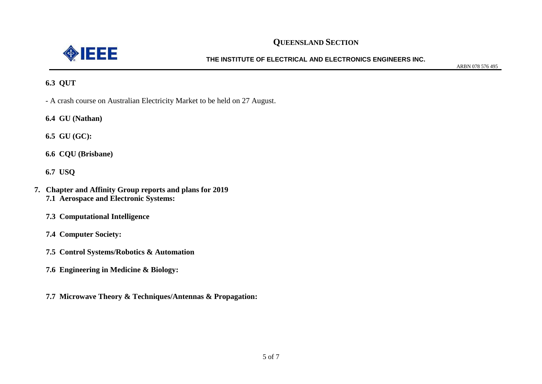

## **THE INSTITUTE OF ELECTRICAL AND ELECTRONICS ENGINEERS INC.**

ARBN 078 576 495

## **6.3 QUT**

- A crash course on Australian Electricity Market to be held on 27 August.
- **6.4 GU (Nathan)**

**6.5 GU (GC):**

**6.6 CQU (Brisbane)**

**6.7 USQ**

- **7. Chapter and Affinity Group reports and plans for 2019 7.1 Aerospace and Electronic Systems:** 
	- **7.3 Computational Intelligence**
	- **7.4 Computer Society:**
	- **7.5 Control Systems/Robotics & Automation**
	- **7.6 Engineering in Medicine & Biology:**
	- **7.7 Microwave Theory & Techniques/Antennas & Propagation:**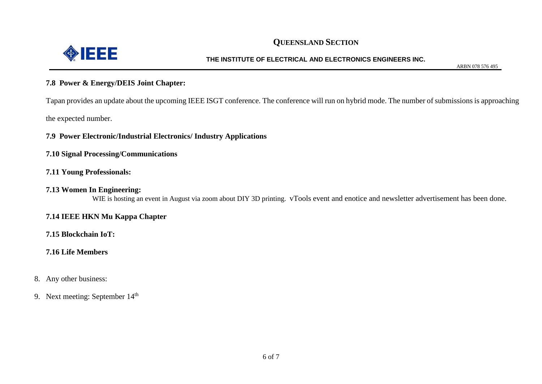

#### **THE INSTITUTE OF ELECTRICAL AND ELECTRONICS ENGINEERS INC.**

ARBN 078 576 495

#### **7.8 Power & Energy/DEIS Joint Chapter:**

Tapan provides an update about the upcoming IEEE ISGT conference. The conference will run on hybrid mode. The number of submissions is approaching the expected number.

**7.9 Power Electronic/Industrial Electronics/ Industry Applications**

**7.10 Signal Processing/Communications**

### **7.11 Young Professionals:**

#### **7.13 Women In Engineering:**

WIE is hosting an event in August via zoom about DIY 3D printing. vTools event and enotice and newsletter advertisement has been done.

## **7.14 IEEE HKN Mu Kappa Chapter**

## **7.15 Blockchain IoT:**

## **7.16 Life Members**

8. Any other business:

9. Next meeting: September 14<sup>th</sup>